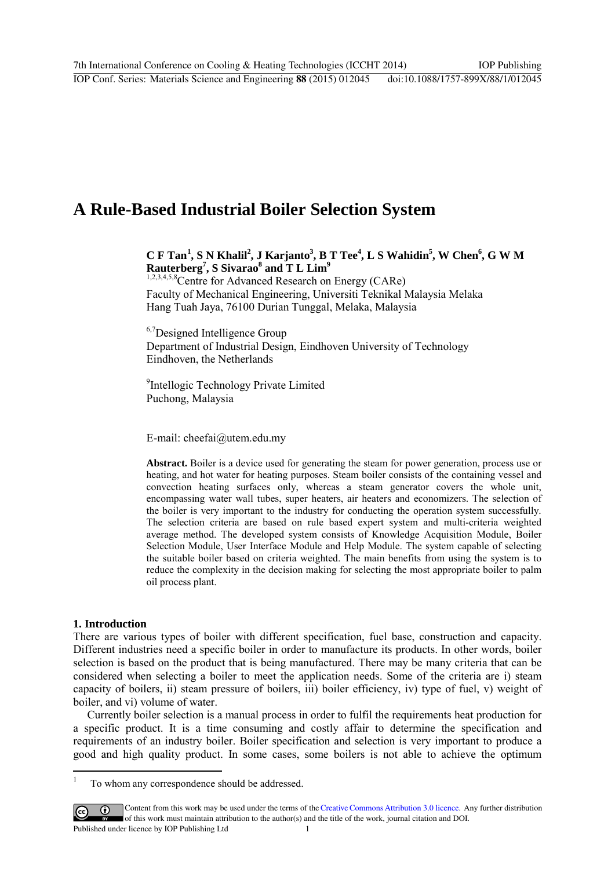# **A Rule-Based Industrial Boiler Selection System**

## $C F Tan<sup>1</sup>, S N Khalil<sup>2</sup>, J Karjanto<sup>3</sup>, B T Tee<sup>4</sup>, L S Wahidin<sup>5</sup>, W Chen<sup>6</sup>, G W M$  $C F Tan<sup>1</sup>, S N Khalil<sup>2</sup>, J Karjanto<sup>3</sup>, B T Tee<sup>4</sup>, L S Wahidin<sup>5</sup>, W Chen<sup>6</sup>, G W M$  $C F Tan<sup>1</sup>, S N Khalil<sup>2</sup>, J Karjanto<sup>3</sup>, B T Tee<sup>4</sup>, L S Wahidin<sup>5</sup>, W Chen<sup>6</sup>, G W M$  $\textbf{Rauterberg}^7$ , S Sivarao<sup>8</sup> and T L Lim<sup>9</sup>

1,2,3,4,5,8 Centre for Advanced Research on Energy (CARe) Faculty of Mechanical Engineering, Universiti Teknikal Malaysia Melaka Hang Tuah Jaya, 76100 Durian Tunggal, Melaka, Malaysia

<sup>6,7</sup>Designed Intelligence Group Department of Industrial Design, Eindhoven University of Technology Eindhoven, the Netherlands

<sup>9</sup>Intellogic Technology Private Limited Puchong, Malaysia

E-mail: cheefai@utem.edu.my

**Abstract.** Boiler is a device used for generating the steam for power generation, process use or heating, and hot water for heating purposes. Steam boiler consists of the containing vessel and convection heating surfaces only, whereas a steam generator covers the whole unit, encompassing water wall tubes, super heaters, air heaters and economizers. The selection of the boiler is very important to the industry for conducting the operation system successfully. The selection criteria are based on rule based expert system and multi-criteria weighted average method. The developed system consists of Knowledge Acquisition Module, Boiler Selection Module, User Interface Module and Help Module. The system capable of selecting the suitable boiler based on criteria weighted. The main benefits from using the system is to reduce the complexity in the decision making for selecting the most appropriate boiler to palm oil process plant.

## **1. Introduction**

There are various types of boiler with different specification, fuel base, construction and capacity. Different industries need a specific boiler in order to manufacture its products. In other words, boiler selection is based on the product that is being manufactured. There may be many criteria that can be considered when selecting a boiler to meet the application needs. Some of the criteria are i) steam capacity of boilers, ii) steam pressure of boilers, iii) boiler efficiency, iv) type of fuel, v) weight of boiler, and vi) volume of water.

Currently boiler selection is a manual process in order to fulfil the requirements heat production for a specific product. It is a time consuming and costly affair to determine the specification and requirements of an industry boiler. Boiler specification and selection is very important to produce a good and high quality product. In some cases, some boilers is not able to achieve the optimum

<span id="page-0-0"></span> $\overline{\cdot}$ 1 To whom any correspondence should be addressed.

Content from this work may be used under the terms of theCreative Commons Attribution 3.0 licence. Any further distribution  $\vert$  (cc) of this work must maintain attribution to the author(s) and the title of the work, journal citation and DOI. Published under licence by IOP Publishing Ltd 1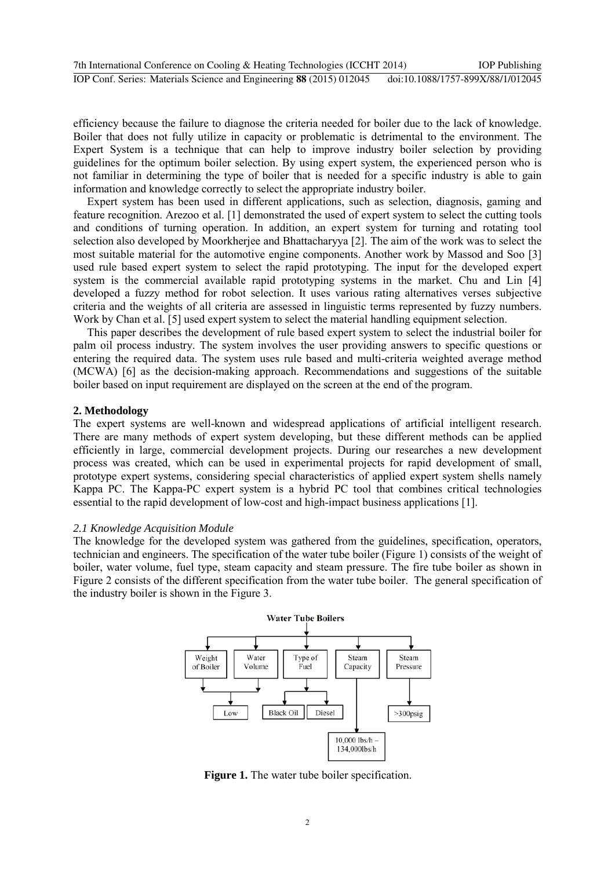efficiency because the failure to diagnose the criteria needed for boiler due to the lack of knowledge. Boiler that does not fully utilize in capacity or problematic is detrimental to the environment. The Expert System is a technique that can help to improve industry boiler selection by providing guidelines for the optimum boiler selection. By using expert system, the experienced person who is not familiar in determining the type of boiler that is needed for a specific industry is able to gain information and knowledge correctly to select the appropriate industry boiler.

Expert system has been used in different applications, such as selection, diagnosis, gaming and feature recognition. Arezoo et al. [1] demonstrated the used of expert system to select the cutting tools and conditions of turning operation. In addition, an expert system for turning and rotating tool selection also developed by Moorkherjee and Bhattacharyya [2]. The aim of the work was to select the most suitable material for the automotive engine components. Another work by Massod and Soo [3] used rule based expert system to select the rapid prototyping. The input for the developed expert system is the commercial available rapid prototyping systems in the market. Chu and Lin [4] developed a fuzzy method for robot selection. It uses various rating alternatives verses subjective criteria and the weights of all criteria are assessed in linguistic terms represented by fuzzy numbers. Work by Chan et al. [5] used expert system to select the material handling equipment selection.

This paper describes the development of rule based expert system to select the industrial boiler for palm oil process industry. The system involves the user providing answers to specific questions or entering the required data. The system uses rule based and multi-criteria weighted average method (MCWA) [6] as the decision-making approach. Recommendations and suggestions of the suitable boiler based on input requirement are displayed on the screen at the end of the program.

#### **2. Methodology**

The expert systems are well-known and widespread applications of artificial intelligent research. There are many methods of expert system developing, but these different methods can be applied efficiently in large, commercial development projects. During our researches a new development process was created, which can be used in experimental projects for rapid development of small, prototype expert systems, considering special characteristics of applied expert system shells namely Kappa PC. The Kappa-PC expert system is a hybrid PC tool that combines critical technologies essential to the rapid development of low-cost and high-impact business applications [1].

## *2.1 Knowledge Acquisition Module*

The knowledge for the developed system was gathered from the guidelines, specification, operators, technician and engineers. The specification of the water tube boiler (Figure 1) consists of the weight of boiler, water volume, fuel type, steam capacity and steam pressure. The fire tube boiler as shown in Figure 2 consists of the different specification from the water tube boiler. The general specification of the industry boiler is shown in the Figure 3.



**Figure 1.** The water tube boiler specification.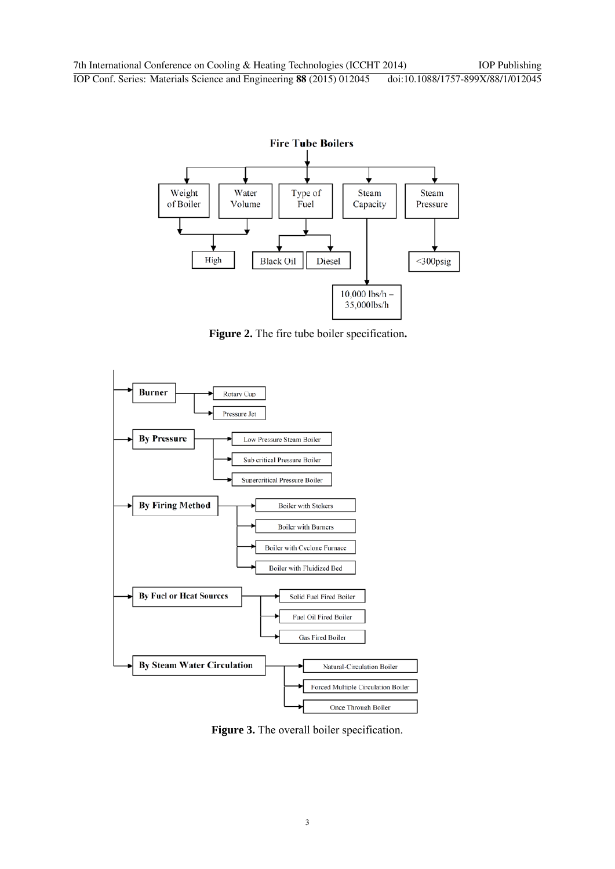

**Figure 2.** The fire tube boiler specification**.**



**Figure 3.** The overall boiler specification.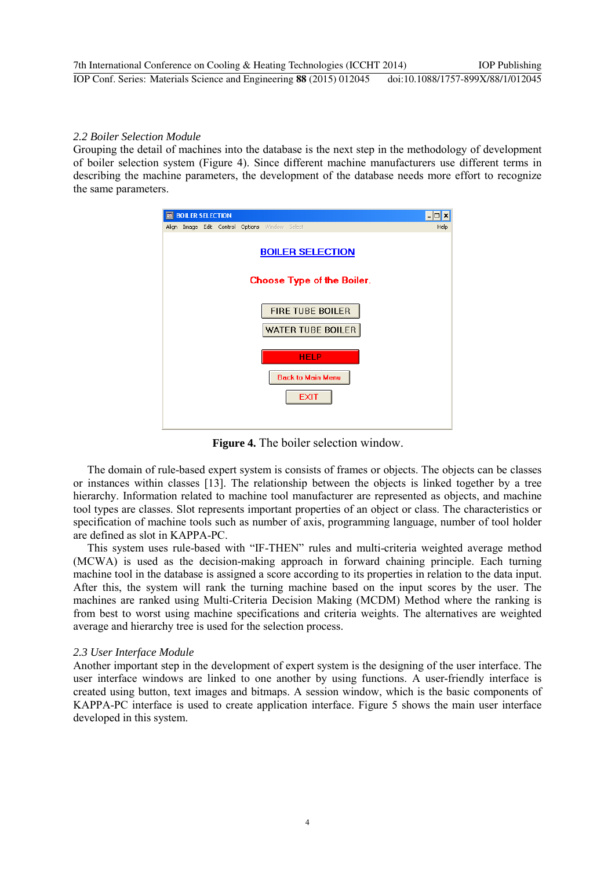## *2.2 Boiler Selection Module*

Grouping the detail of machines into the database is the next step in the methodology of development of boiler selection system (Figure 4). Since different machine manufacturers use different terms in describing the machine parameters, the development of the database needs more effort to recognize the same parameters.



**Figure 4.** The boiler selection window.

The domain of rule-based expert system is consists of frames or objects. The objects can be classes or instances within classes [13]. The relationship between the objects is linked together by a tree hierarchy. Information related to machine tool manufacturer are represented as objects, and machine tool types are classes. Slot represents important properties of an object or class. The characteristics or specification of machine tools such as number of axis, programming language, number of tool holder are defined as slot in KAPPA-PC.

This system uses rule-based with "IF-THEN" rules and multi-criteria weighted average method (MCWA) is used as the decision-making approach in forward chaining principle. Each turning machine tool in the database is assigned a score according to its properties in relation to the data input. After this, the system will rank the turning machine based on the input scores by the user. The machines are ranked using Multi-Criteria Decision Making (MCDM) Method where the ranking is from best to worst using machine specifications and criteria weights. The alternatives are weighted average and hierarchy tree is used for the selection process.

## *2.3 User Interface Module*

Another important step in the development of expert system is the designing of the user interface. The user interface windows are linked to one another by using functions. A user-friendly interface is created using button, text images and bitmaps. A session window, which is the basic components of KAPPA-PC interface is used to create application interface. Figure 5 shows the main user interface developed in this system.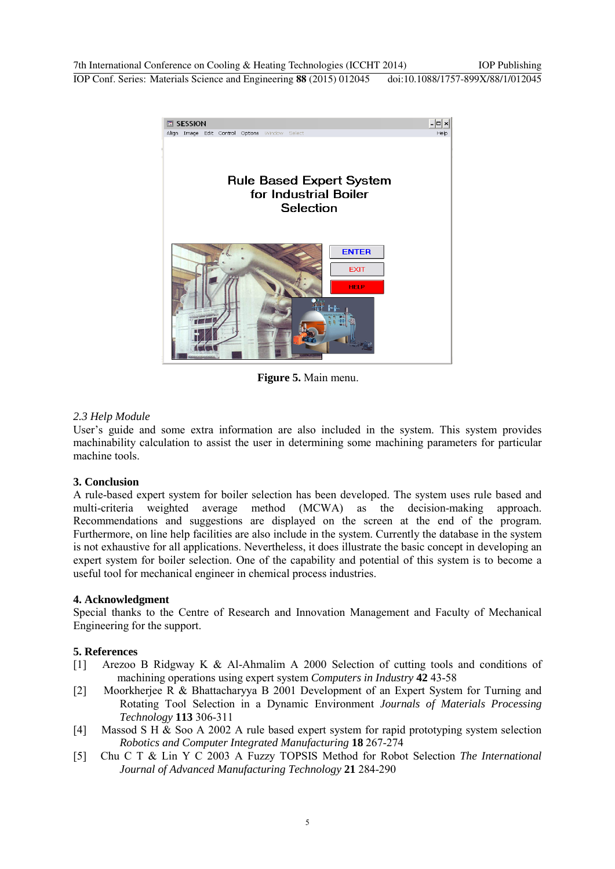7th International Conference on Cooling & Heating Technologies (ICCHT 2014) IOP Publishing IOP Conf. Series: Materials Science and Engineering **88** (2015) 012045 doi:10.1088/1757-899X/88/1/012045



**Figure 5.** Main menu.

## *2.3 Help Module*

User's guide and some extra information are also included in the system. This system provides machinability calculation to assist the user in determining some machining parameters for particular machine tools.

## **3. Conclusion**

A rule-based expert system for boiler selection has been developed. The system uses rule based and multi-criteria weighted average method (MCWA) as the decision-making approach. Recommendations and suggestions are displayed on the screen at the end of the program. Furthermore, on line help facilities are also include in the system. Currently the database in the system is not exhaustive for all applications. Nevertheless, it does illustrate the basic concept in developing an expert system for boiler selection. One of the capability and potential of this system is to become a useful tool for mechanical engineer in chemical process industries.

## **4. Acknowledgment**

Special thanks to the Centre of Research and Innovation Management and Faculty of Mechanical Engineering for the support.

## **5. References**

- [1] Arezoo B Ridgway K & Al-Ahmalim A 2000 Selection of cutting tools and conditions of machining operations using expert system *Computers in Industry* **42** 43-58
- [2] Moorkherjee R & Bhattacharyya B 2001 Development of an Expert System for Turning and Rotating Tool Selection in a Dynamic Environment *Journals of Materials Processing Technology* **113** 306-311
- [4] Massod S H & Soo A 2002 A rule based expert system for rapid prototyping system selection *Robotics and Computer Integrated Manufacturing* **18** 267-274
- [5] Chu C T & Lin Y C 2003 A Fuzzy TOPSIS Method for Robot Selection *The International Journal of Advanced Manufacturing Technology* **21** 284-290